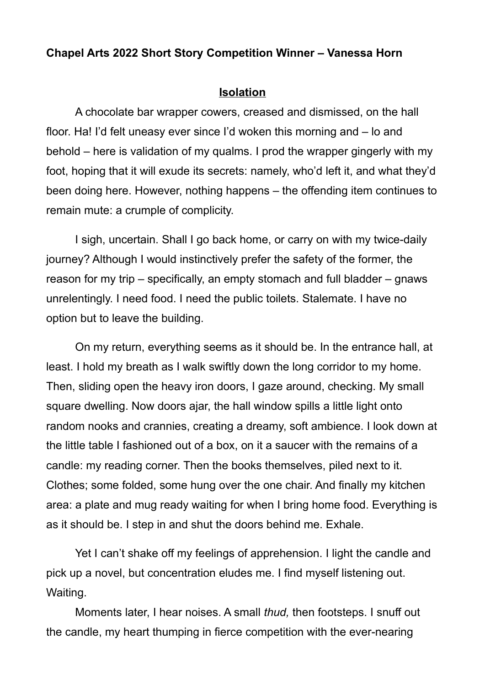## **Chapel Arts 2022 Short Story Competition Winner – Vanessa Horn**

## **Isolation**

A chocolate bar wrapper cowers, creased and dismissed, on the hall floor. Ha! I'd felt uneasy ever since I'd woken this morning and – lo and behold – here is validation of my qualms. I prod the wrapper gingerly with my foot, hoping that it will exude its secrets: namely, who'd left it, and what they'd been doing here. However, nothing happens – the offending item continues to remain mute: a crumple of complicity.

I sigh, uncertain. Shall I go back home, or carry on with my twice-daily journey? Although I would instinctively prefer the safety of the former, the reason for my trip – specifically, an empty stomach and full bladder – gnaws unrelentingly. I need food. I need the public toilets. Stalemate. I have no option but to leave the building.

On my return, everything seems as it should be. In the entrance hall, at least. I hold my breath as I walk swiftly down the long corridor to my home. Then, sliding open the heavy iron doors, I gaze around, checking. My small square dwelling. Now doors ajar, the hall window spills a little light onto random nooks and crannies, creating a dreamy, soft ambience. I look down at the little table I fashioned out of a box, on it a saucer with the remains of a candle: my reading corner. Then the books themselves, piled next to it. Clothes; some folded, some hung over the one chair. And finally my kitchen area: a plate and mug ready waiting for when I bring home food. Everything is as it should be. I step in and shut the doors behind me. Exhale.

Yet I can't shake off my feelings of apprehension. I light the candle and pick up a novel, but concentration eludes me. I find myself listening out. Waiting.

Moments later, I hear noises. A small *thud,* then footsteps. I snuff out the candle, my heart thumping in fierce competition with the ever-nearing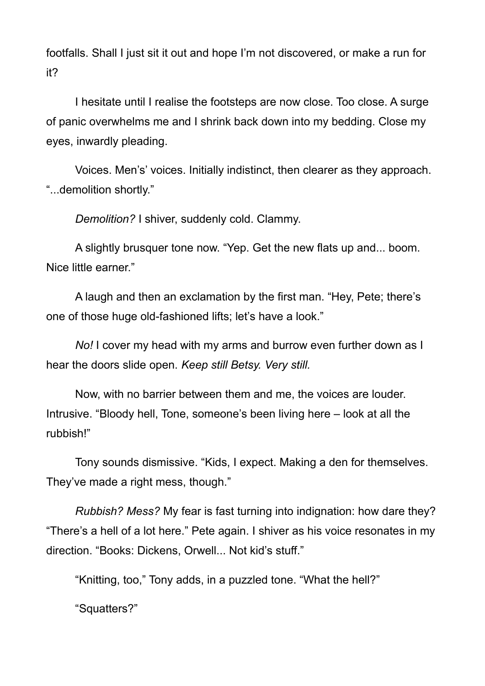footfalls. Shall I just sit it out and hope I'm not discovered, or make a run for it?

I hesitate until I realise the footsteps are now close. Too close. A surge of panic overwhelms me and I shrink back down into my bedding. Close my eyes, inwardly pleading.

Voices. Men's' voices. Initially indistinct, then clearer as they approach. "...demolition shortly."

*Demolition?* I shiver, suddenly cold. Clammy.

A slightly brusquer tone now. "Yep. Get the new flats up and... boom. Nice little earner."

A laugh and then an exclamation by the first man. "Hey, Pete; there's one of those huge old-fashioned lifts; let's have a look."

*No!* I cover my head with my arms and burrow even further down as I hear the doors slide open. *Keep still Betsy. Very still.*

Now, with no barrier between them and me, the voices are louder. Intrusive. "Bloody hell, Tone, someone's been living here – look at all the rubbish!"

Tony sounds dismissive. "Kids, I expect. Making a den for themselves. They've made a right mess, though."

*Rubbish? Mess?* My fear is fast turning into indignation: how dare they? "There's a hell of a lot here." Pete again. I shiver as his voice resonates in my direction. "Books: Dickens, Orwell... Not kid's stuff."

"Knitting, too," Tony adds, in a puzzled tone. "What the hell?"

"Squatters?"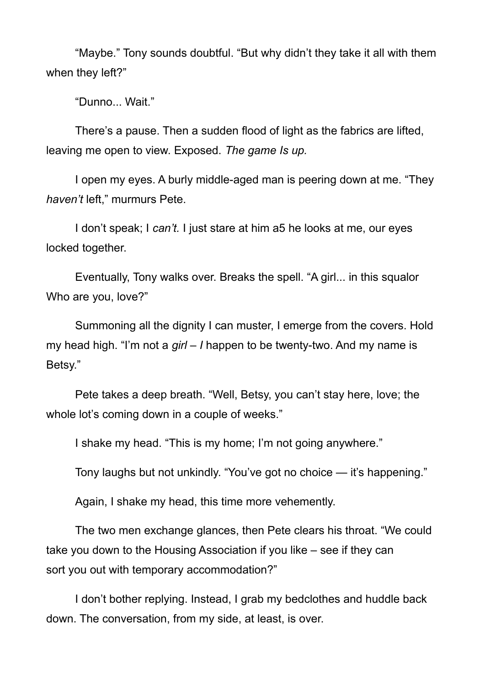"Maybe." Tony sounds doubtful. "But why didn't they take it all with them when they left?"

"Dunno... Wait."

There's a pause. Then a sudden flood of light as the fabrics are lifted, leaving me open to view. Exposed. *The game Is up.*

I open my eyes. A burly middle-aged man is peering down at me. "They *haven't* left," murmurs Pete.

I don't speak; I *can't.* I just stare at him a5 he looks at me, our eyes locked together.

Eventually, Tony walks over. Breaks the spell. "A girl... in this squalor Who are you, love?"

Summoning all the dignity I can muster, I emerge from the covers. Hold my head high. "I'm not a *girl – I* happen to be twenty-two. And my name is Betsy."

Pete takes a deep breath. "Well, Betsy, you can't stay here, love; the whole lot's coming down in a couple of weeks."

I shake my head. "This is my home; I'm not going anywhere."

Tony laughs but not unkindly. "You've got no choice — it's happening."

Again, I shake my head, this time more vehemently.

The two men exchange glances, then Pete clears his throat. "We could take you down to the Housing Association if you like – see if they can sort you out with temporary accommodation?"

I don't bother replying. Instead, I grab my bedclothes and huddle back down. The conversation, from my side, at least, is over.